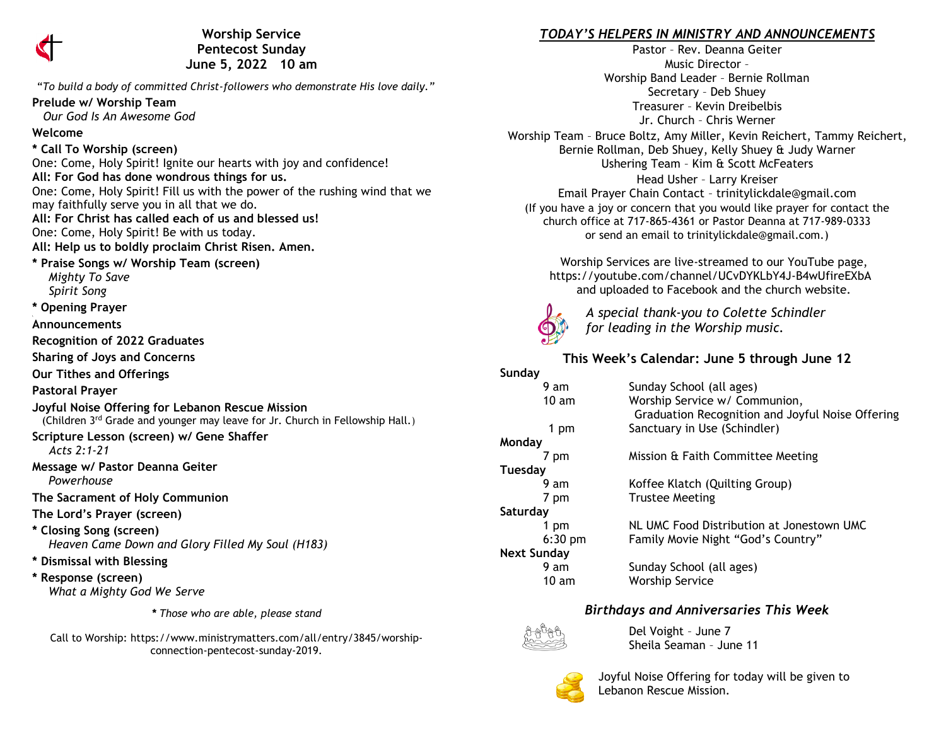

**Worship Service Pentecost Sunday June 5, 2022 10 am** 

"*To build a body of committed Christ-followers who demonstrate His love daily."*

#### **Prelude w/ Worship Team**

 *Our God Is An Awesome God*

### **Welcome**

### **\* Call To Worship (screen)**

One: Come, Holy Spirit! Ignite our hearts with joy and confidence! **All: For God has done wondrous things for us.** One: Come, Holy Spirit! Fill us with the power of the rushing wind that we may faithfully serve you in all that we do. **All: For Christ has called each of us and blessed us!** One: Come, Holy Spirit! Be with us today. **All: Help us to boldly proclaim Christ Risen. Amen. \* Praise Songs w/ Worship Team (screen)**  *Mighty To Save Spirit Song* **\* Opening Prayer Announcements Recognition of 2022 Graduates**

**Sharing of Joys and Concerns**

**Our Tithes and Offerings**

### **Pastoral Prayer**

**Joyful Noise Offering for Lebanon Rescue Mission** (Children 3rd Grade and younger may leave for Jr. Church in Fellowship Hall.)

# **Scripture Lesson (screen) w/ Gene Shaffer**

*Acts 2:1-21*

**Message w/ Pastor Deanna Geiter**  *Powerhouse*

**The Sacrament of Holy Communion**

**The Lord's Prayer (screen)**

**\* Closing Song (screen)**  *Heaven Came Down and Glory Filled My Soul (H183)*

- **\* Dismissal with Blessing**
- **\* Response (screen)**   *What a Mighty God We Serve*

*\* Those who are able, please stand*

Call to Worship: https://www.ministrymatters.com/all/entry/3845/worshipconnection-pentecost-sunday-2019.

## *TODAY'S HELPERS IN MINISTRY AND ANNOUNCEMENTS*

Pastor – Rev. Deanna Geiter Music Director – Worship Band Leader – Bernie Rollman Secretary – Deb Shuey Treasurer – Kevin Dreibelbis Jr. Church – Chris Werner

Worship Team – Bruce Boltz, Amy Miller, Kevin Reichert, Tammy Reichert, Bernie Rollman, Deb Shuey, Kelly Shuey & Judy Warner Ushering Team – Kim & Scott McFeaters Head Usher – Larry Kreiser Email Prayer Chain Contact – [trinitylickdale@gmail.com](mailto:trinitylickdale@gmail.com) (If you have a joy or concern that you would like prayer for contact the church office at 717-865-4361 or Pastor Deanna at 717-989-0333 or send an email to trinitylickdale@gmail.com.)

> Worship Services are live-streamed to our YouTube page, <https://youtube.com/channel/UCvDYKLbY4J-B4wUfireEXbA> and uploaded to Facebook and the church website.



*A special thank-you to Colette Schindler for leading in the Worship music.*

# **This Week's Calendar: June 5 through June 12**

| Sunday             |                                                                                   |
|--------------------|-----------------------------------------------------------------------------------|
| 9 am               | Sunday School (all ages)                                                          |
| 10 <sub>am</sub>   | Worship Service w/ Communion,<br>Graduation Recognition and Joyful Noise Offering |
| 1 pm               | Sanctuary in Use (Schindler)                                                      |
| Monday             |                                                                                   |
| 7 pm               | Mission & Faith Committee Meeting                                                 |
| Tuesday            |                                                                                   |
| 9 am               | Koffee Klatch (Quilting Group)                                                    |
| 7 pm               | <b>Trustee Meeting</b>                                                            |
| Saturday           |                                                                                   |
| 1 pm               | NL UMC Food Distribution at Jonestown UMC                                         |
| $6:30$ pm          | Family Movie Night "God's Country"                                                |
| <b>Next Sunday</b> |                                                                                   |
| 9 am               | Sunday School (all ages)                                                          |
| 10 am              | <b>Worship Service</b>                                                            |

### *Birthdays and Anniversaries This Week*



Del Voight – June 7 Sheila Seaman – June 11



 Joyful Noise Offering for today will be given to Lebanon Rescue Mission.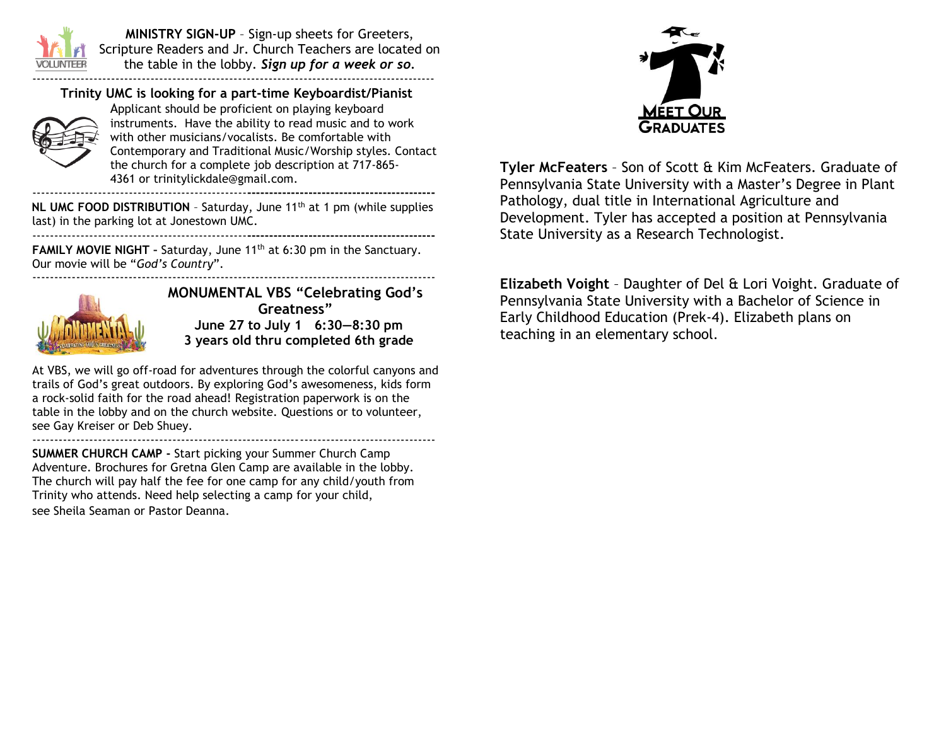

**MINISTRY SIGN-UP** – Sign-up sheets for Greeters, Scripture Readers and Jr. Church Teachers are located on the table in the lobby. *Sign up for a week or so.* --------------------------------------------------------------------------------------------

### **Trinity UMC is looking for a part-time Keyboardist/Pianist**



Applicant should be proficient on playing keyboard instruments. Have the ability to read music and to work with other musicians/vocalists. Be comfortable with Contemporary and Traditional Music/Worship styles. Contact the church for a complete job description at 717-865- 4361 or [trinitylickdale@gmail.com.](mailto:trinitylickdale@gmail.com) -------------------------------------------------**-------------------------------------------**

**NL UMC FOOD DISTRIBUTION** - Saturday, June 11<sup>th</sup> at 1 pm (while supplies last) in the parking lot at Jonestown UMC. -------------------------------------------------**-------------------------------------------**

**FAMILY MOVIE NIGHT -** Saturday, June 11<sup>th</sup> at 6:30 pm in the Sanctuary. Our movie will be "*God's Country*".



**MONUMENTAL VBS "Celebrating God's Greatness" June 27 to July 1 6:30—8:30 pm 3 years old thru completed 6th grade**

--------------------------------------------------------------------------------------------

At VBS, we will go off-road for adventures through the colorful canyons and trails of God's great outdoors. By exploring God's awesomeness, kids form a rock-solid faith for the road ahead! Registration paperwork is on the table in the lobby and on the church website. Questions or to volunteer, see Gay Kreiser or Deb Shuey. --------------------------------------------------------------------------------------------

**SUMMER CHURCH CAMP -** Start picking your Summer Church Camp Adventure. Brochures for Gretna Glen Camp are available in the lobby. The church will pay half the fee for one camp for any child/youth from Trinity who attends. Need help selecting a camp for your child, see Sheila Seaman or Pastor Deanna.



**Tyler McFeaters** – Son of Scott & Kim McFeaters. Graduate of Pennsylvania State University with a Master's Degree in Plant Pathology, dual title in International Agriculture and Development. Tyler has accepted a position at Pennsylvania State University as a Research Technologist.

**Elizabeth Voight** – Daughter of Del & Lori Voight. Graduate of Pennsylvania State University with a Bachelor of Science in Early Childhood Education (Prek-4). Elizabeth plans on teaching in an elementary school.